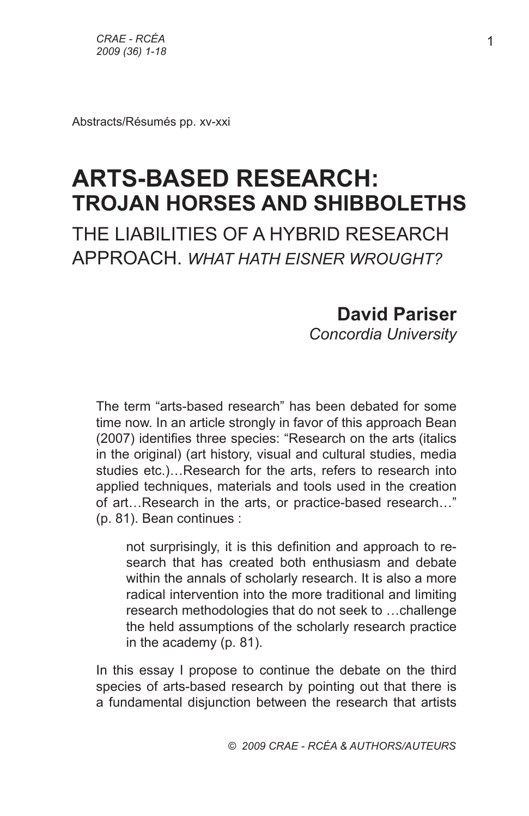*CRAE - RCÉA* 1 *2009 (36) 1-18*

Abstracts/Résumés pp. xv-xxi

# **ARTS-BASED RESEARCH: TROJAN HORSES AND SHIBBOLETHS** THE LIABILITIES OF A HYBRID RESEARCH APPROACH. *WHAT HATH EISNER WROUGHT?*

## **David Pariser**

*Concordia University*

The term "arts-based research" has been debated for some time now. In an article strongly in favor of this approach Bean (2007) identifies three species: "Research on the arts (italics in the original) (art history, visual and cultural studies, media studies etc.)…Research for the arts, refers to research into applied techniques, materials and tools used in the creation of art…Research in the arts, or practice-based research…" (p. 81). Bean continues :

not surprisingly, it is this definition and approach to research that has created both enthusiasm and debate within the annals of scholarly research. It is also a more radical intervention into the more traditional and limiting research methodologies that do not seek to …challenge the held assumptions of the scholarly research practice in the academy (p. 81).

In this essay I propose to continue the debate on the third species of arts-based research by pointing out that there is a fundamental disjunction between the research that artists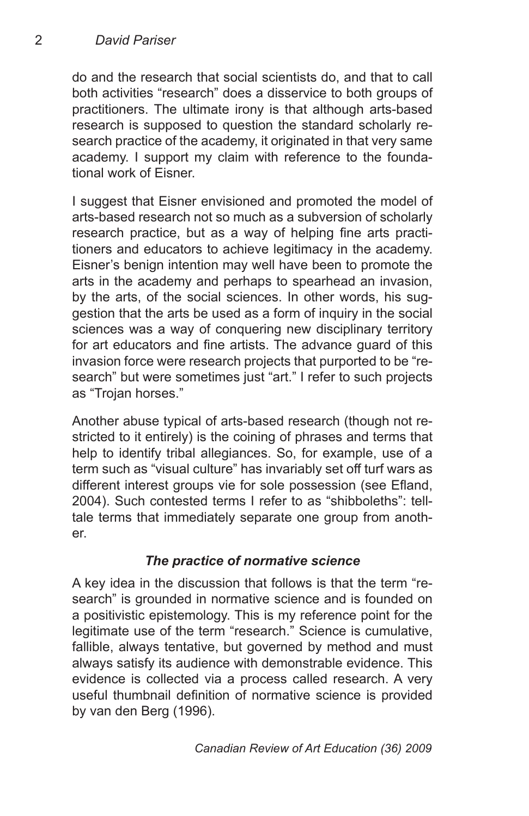do and the research that social scientists do, and that to call both activities "research" does a disservice to both groups of practitioners. The ultimate irony is that although arts-based research is supposed to question the standard scholarly research practice of the academy, it originated in that very same academy. I support my claim with reference to the foundational work of Eisner.

I suggest that Eisner envisioned and promoted the model of arts-based research not so much as a subversion of scholarly research practice, but as a way of helping fine arts practitioners and educators to achieve legitimacy in the academy. Eisner's benign intention may well have been to promote the arts in the academy and perhaps to spearhead an invasion, by the arts, of the social sciences. In other words, his suggestion that the arts be used as a form of inquiry in the social sciences was a way of conquering new disciplinary territory for art educators and fine artists. The advance guard of this invasion force were research projects that purported to be "research" but were sometimes just "art." I refer to such projects as "Trojan horses."

Another abuse typical of arts-based research (though not restricted to it entirely) is the coining of phrases and terms that help to identify tribal allegiances. So, for example, use of a term such as "visual culture" has invariably set off turf wars as different interest groups vie for sole possession (see Efland, 2004). Such contested terms I refer to as "shibboleths": telltale terms that immediately separate one group from another.

## *The practice of normative science*

A key idea in the discussion that follows is that the term "research" is grounded in normative science and is founded on a positivistic epistemology. This is my reference point for the legitimate use of the term "research." Science is cumulative, fallible, always tentative, but governed by method and must always satisfy its audience with demonstrable evidence. This evidence is collected via a process called research. A very useful thumbnail definition of normative science is provided by van den Berg (1996).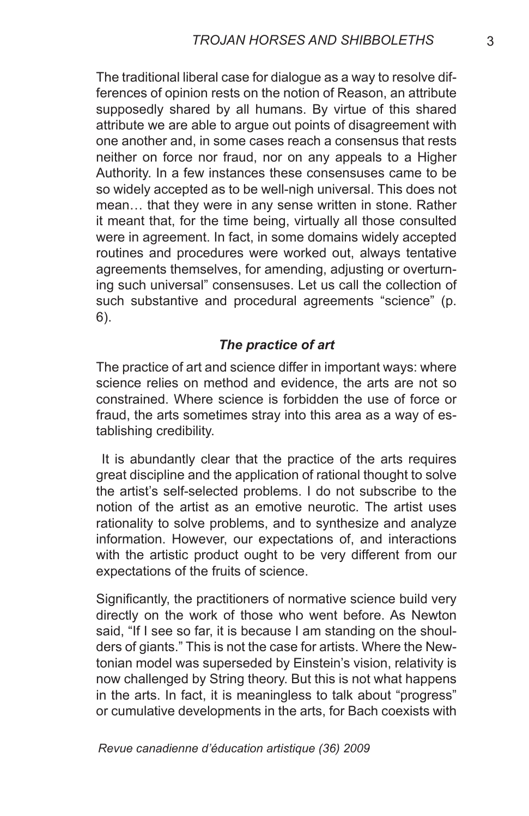The traditional liberal case for dialogue as a way to resolve differences of opinion rests on the notion of Reason, an attribute supposedly shared by all humans. By virtue of this shared attribute we are able to argue out points of disagreement with one another and, in some cases reach a consensus that rests neither on force nor fraud, nor on any appeals to a Higher Authority. In a few instances these consensuses came to be so widely accepted as to be well-nigh universal. This does not mean… that they were in any sense written in stone. Rather it meant that, for the time being, virtually all those consulted were in agreement. In fact, in some domains widely accepted routines and procedures were worked out, always tentative agreements themselves, for amending, adjusting or overturning such universal" consensuses. Let us call the collection of such substantive and procedural agreements "science" (p. 6).

#### *The practice of art*

The practice of art and science differ in important ways: where science relies on method and evidence, the arts are not so constrained. Where science is forbidden the use of force or fraud, the arts sometimes stray into this area as a way of establishing credibility.

 It is abundantly clear that the practice of the arts requires great discipline and the application of rational thought to solve the artist's self-selected problems. I do not subscribe to the notion of the artist as an emotive neurotic. The artist uses rationality to solve problems, and to synthesize and analyze information. However, our expectations of, and interactions with the artistic product ought to be very different from our expectations of the fruits of science.

Significantly, the practitioners of normative science build very directly on the work of those who went before. As Newton said, "If I see so far, it is because I am standing on the shoulders of giants." This is not the case for artists. Where the Newtonian model was superseded by Einstein's vision, relativity is now challenged by String theory. But this is not what happens in the arts. In fact, it is meaningless to talk about "progress" or cumulative developments in the arts, for Bach coexists with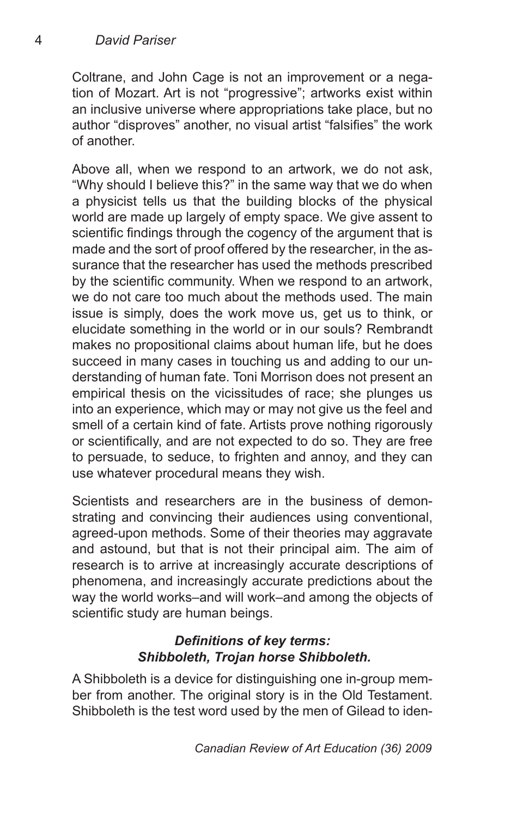Coltrane, and John Cage is not an improvement or a negation of Mozart. Art is not "progressive"; artworks exist within an inclusive universe where appropriations take place, but no author "disproves" another, no visual artist "falsifies" the work of another.

Above all, when we respond to an artwork, we do not ask, "Why should I believe this?" in the same way that we do when a physicist tells us that the building blocks of the physical world are made up largely of empty space. We give assent to scientific findings through the cogency of the argument that is made and the sort of proof offered by the researcher, in the assurance that the researcher has used the methods prescribed by the scientific community. When we respond to an artwork, we do not care too much about the methods used. The main issue is simply, does the work move us, get us to think, or elucidate something in the world or in our souls? Rembrandt makes no propositional claims about human life, but he does succeed in many cases in touching us and adding to our understanding of human fate. Toni Morrison does not present an empirical thesis on the vicissitudes of race; she plunges us into an experience, which may or may not give us the feel and smell of a certain kind of fate. Artists prove nothing rigorously or scientifically, and are not expected to do so. They are free to persuade, to seduce, to frighten and annoy, and they can use whatever procedural means they wish.

Scientists and researchers are in the business of demonstrating and convincing their audiences using conventional, agreed-upon methods. Some of their theories may aggravate and astound, but that is not their principal aim. The aim of research is to arrive at increasingly accurate descriptions of phenomena, and increasingly accurate predictions about the way the world works–and will work–and among the objects of scientific study are human beings.

## *Definitions of key terms: Shibboleth, Trojan horse Shibboleth.*

A Shibboleth is a device for distinguishing one in-group member from another. The original story is in the Old Testament. Shibboleth is the test word used by the men of Gilead to iden-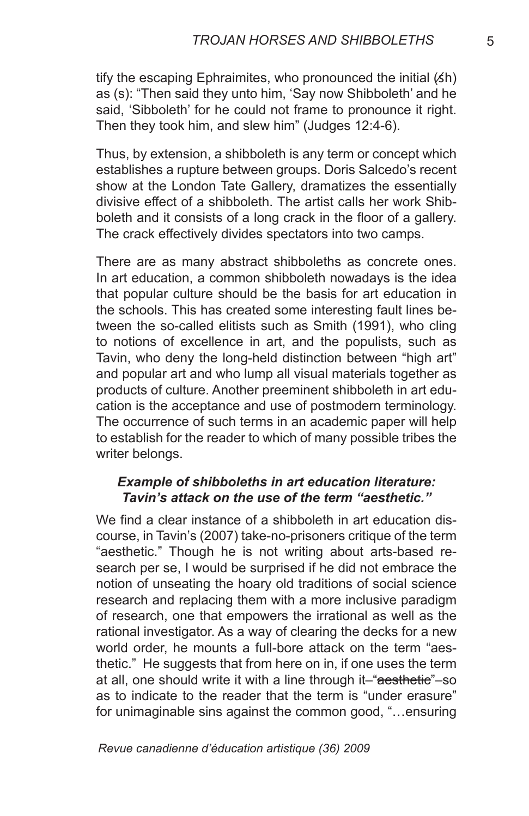tify the escaping Ephraimites, who pronounced the initial  $(6h)$ as (s): "Then said they unto him, 'Say now Shibboleth' and he said. 'Sibboleth' for he could not frame to pronounce it right. Then they took him, and slew him" (Judges 12:4-6).

Thus, by extension, a shibboleth is any term or concept which establishes a rupture between groups. Doris Salcedo's recent show at the London Tate Gallery, dramatizes the essentially divisive effect of a shibboleth. The artist calls her work Shibboleth and it consists of a long crack in the floor of a gallery. The crack effectively divides spectators into two camps.

There are as many abstract shibboleths as concrete ones. In art education, a common shibboleth nowadays is the idea that popular culture should be the basis for art education in the schools. This has created some interesting fault lines between the so-called elitists such as Smith (1991), who cling to notions of excellence in art, and the populists, such as Tavin, who deny the long-held distinction between "high art" and popular art and who lump all visual materials together as products of culture. Another preeminent shibboleth in art education is the acceptance and use of postmodern terminology. The occurrence of such terms in an academic paper will help to establish for the reader to which of many possible tribes the writer belongs.

## *Example of shibboleths in art education literature: Tavin's attack on the use of the term "aesthetic."*

We find a clear instance of a shibboleth in art education discourse, in Tavin's (2007) take-no-prisoners critique of the term "aesthetic." Though he is not writing about arts-based research per se, I would be surprised if he did not embrace the notion of unseating the hoary old traditions of social science research and replacing them with a more inclusive paradigm of research, one that empowers the irrational as well as the rational investigator. As a way of clearing the decks for a new world order, he mounts a full-bore attack on the term "aesthetic." He suggests that from here on in, if one uses the term at all, one should write it with a line through it–"aesthetie"–so as to indicate to the reader that the term is "under erasure" for unimaginable sins against the common good, "…ensuring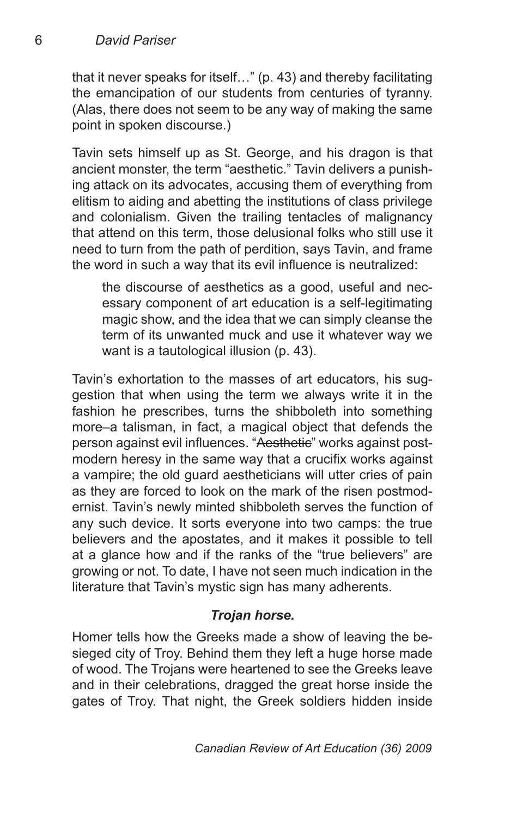that it never speaks for itself…" (p. 43) and thereby facilitating the emancipation of our students from centuries of tyranny. (Alas, there does not seem to be any way of making the same point in spoken discourse.)

Tavin sets himself up as St. George, and his dragon is that ancient monster, the term "aesthetic." Tavin delivers a punishing attack on its advocates, accusing them of everything from elitism to aiding and abetting the institutions of class privilege and colonialism. Given the trailing tentacles of malignancy that attend on this term, those delusional folks who still use it need to turn from the path of perdition, says Tavin, and frame the word in such a way that its evil influence is neutralized:

the discourse of aesthetics as a good, useful and necessary component of art education is a self-legitimating magic show, and the idea that we can simply cleanse the term of its unwanted muck and use it whatever way we want is a tautological illusion (p. 43).

Tavin's exhortation to the masses of art educators, his suggestion that when using the term we always write it in the fashion he prescribes, turns the shibboleth into something more–a talisman, in fact, a magical object that defends the person against evil influences. "Aesthetie" works against postmodern heresy in the same way that a crucifix works against a vampire; the old guard aestheticians will utter cries of pain as they are forced to look on the mark of the risen postmodernist. Tavin's newly minted shibboleth serves the function of any such device. It sorts everyone into two camps: the true believers and the apostates, and it makes it possible to tell at a glance how and if the ranks of the "true believers" are growing or not. To date, I have not seen much indication in the literature that Tavin's mystic sign has many adherents.

## *Trojan horse.*

Homer tells how the Greeks made a show of leaving the besieged city of Troy. Behind them they left a huge horse made of wood. The Trojans were heartened to see the Greeks leave and in their celebrations, dragged the great horse inside the gates of Troy. That night, the Greek soldiers hidden inside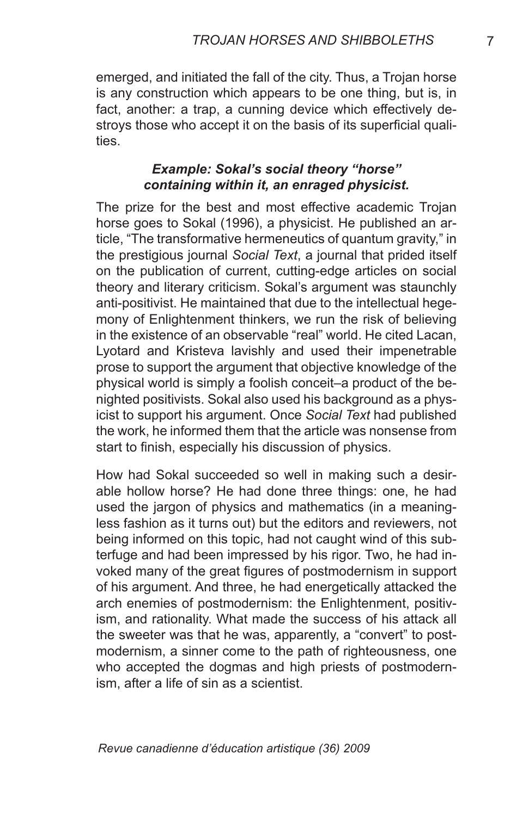emerged, and initiated the fall of the city. Thus, a Trojan horse is any construction which appears to be one thing, but is, in fact, another: a trap, a cunning device which effectively destroys those who accept it on the basis of its superficial qualities.

## *Example: Sokal's social theory "horse" containing within it, an enraged physicist.*

The prize for the best and most effective academic Trojan horse goes to Sokal (1996), a physicist. He published an article, "The transformative hermeneutics of quantum gravity," in the prestigious journal *Social Text*, a journal that prided itself on the publication of current, cutting-edge articles on social theory and literary criticism. Sokal's argument was staunchly anti-positivist. He maintained that due to the intellectual hegemony of Enlightenment thinkers, we run the risk of believing in the existence of an observable "real" world. He cited Lacan, Lyotard and Kristeva lavishly and used their impenetrable prose to support the argument that objective knowledge of the physical world is simply a foolish conceit–a product of the benighted positivists. Sokal also used his background as a physicist to support his argument. Once *Social Text* had published the work, he informed them that the article was nonsense from start to finish, especially his discussion of physics.

How had Sokal succeeded so well in making such a desirable hollow horse? He had done three things: one, he had used the jargon of physics and mathematics (in a meaningless fashion as it turns out) but the editors and reviewers, not being informed on this topic, had not caught wind of this subterfuge and had been impressed by his rigor. Two, he had invoked many of the great figures of postmodernism in support of his argument. And three, he had energetically attacked the arch enemies of postmodernism: the Enlightenment, positivism, and rationality. What made the success of his attack all the sweeter was that he was, apparently, a "convert" to postmodernism, a sinner come to the path of righteousness, one who accepted the dogmas and high priests of postmodernism, after a life of sin as a scientist.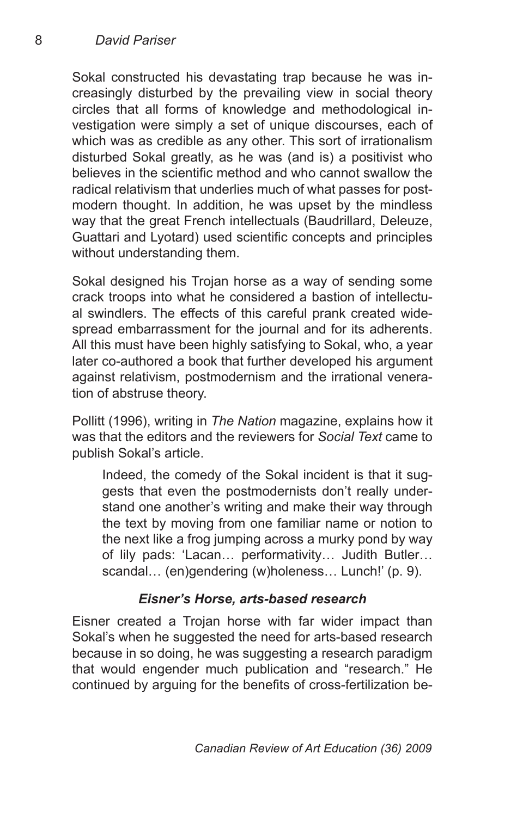*David Pariser*

Sokal constructed his devastating trap because he was increasingly disturbed by the prevailing view in social theory circles that all forms of knowledge and methodological investigation were simply a set of unique discourses, each of which was as credible as any other. This sort of irrationalism disturbed Sokal greatly, as he was (and is) a positivist who believes in the scientific method and who cannot swallow the radical relativism that underlies much of what passes for postmodern thought. In addition, he was upset by the mindless way that the great French intellectuals (Baudrillard, Deleuze, Guattari and Lyotard) used scientific concepts and principles without understanding them.

Sokal designed his Trojan horse as a way of sending some crack troops into what he considered a bastion of intellectual swindlers. The effects of this careful prank created widespread embarrassment for the journal and for its adherents. All this must have been highly satisfying to Sokal, who, a year later co-authored a book that further developed his argument against relativism, postmodernism and the irrational veneration of abstruse theory.

Pollitt (1996), writing in *The Nation* magazine, explains how it was that the editors and the reviewers for *Social Text* came to publish Sokal's article.

Indeed, the comedy of the Sokal incident is that it suggests that even the postmodernists don't really understand one another's writing and make their way through the text by moving from one familiar name or notion to the next like a frog jumping across a murky pond by way of lily pads: 'Lacan… performativity… Judith Butler… scandal... (en)gendering (w)holeness... Lunch!' (p. 9).

## *Eisner's Horse, arts-based research*

Eisner created a Trojan horse with far wider impact than Sokal's when he suggested the need for arts-based research because in so doing, he was suggesting a research paradigm that would engender much publication and "research." He continued by arguing for the benefits of cross-fertilization be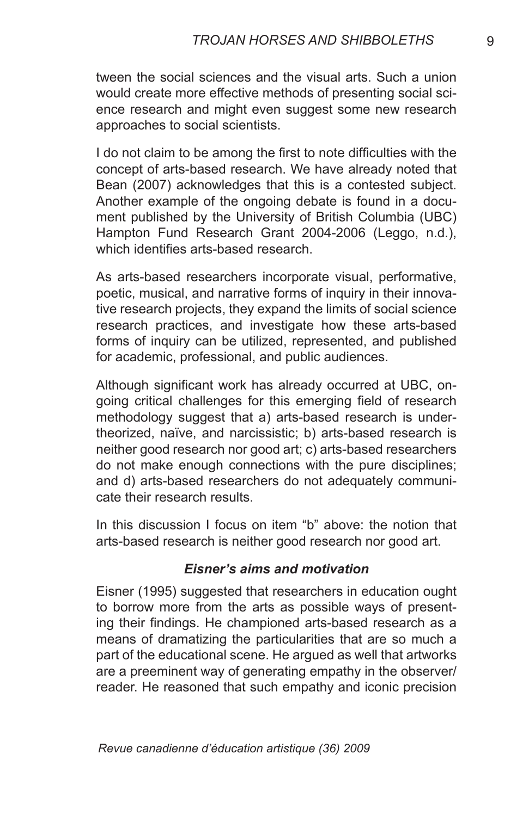tween the social sciences and the visual arts. Such a union would create more effective methods of presenting social science research and might even suggest some new research approaches to social scientists.

I do not claim to be among the first to note difficulties with the concept of arts-based research. We have already noted that Bean (2007) acknowledges that this is a contested subject. Another example of the ongoing debate is found in a document published by the University of British Columbia (UBC) Hampton Fund Research Grant 2004-2006 (Leggo, n.d.), which identifies arts-based research.

As arts-based researchers incorporate visual, performative, poetic, musical, and narrative forms of inquiry in their innovative research projects, they expand the limits of social science research practices, and investigate how these arts-based forms of inquiry can be utilized, represented, and published for academic, professional, and public audiences.

Although significant work has already occurred at UBC, ongoing critical challenges for this emerging field of research methodology suggest that a) arts-based research is undertheorized, naïve, and narcissistic; b) arts-based research is neither good research nor good art; c) arts-based researchers do not make enough connections with the pure disciplines; and d) arts-based researchers do not adequately communicate their research results.

In this discussion I focus on item "b" above: the notion that arts-based research is neither good research nor good art.

### *Eisner's aims and motivation*

Eisner (1995) suggested that researchers in education ought to borrow more from the arts as possible ways of presenting their findings. He championed arts-based research as a means of dramatizing the particularities that are so much a part of the educational scene. He argued as well that artworks are a preeminent way of generating empathy in the observer/ reader. He reasoned that such empathy and iconic precision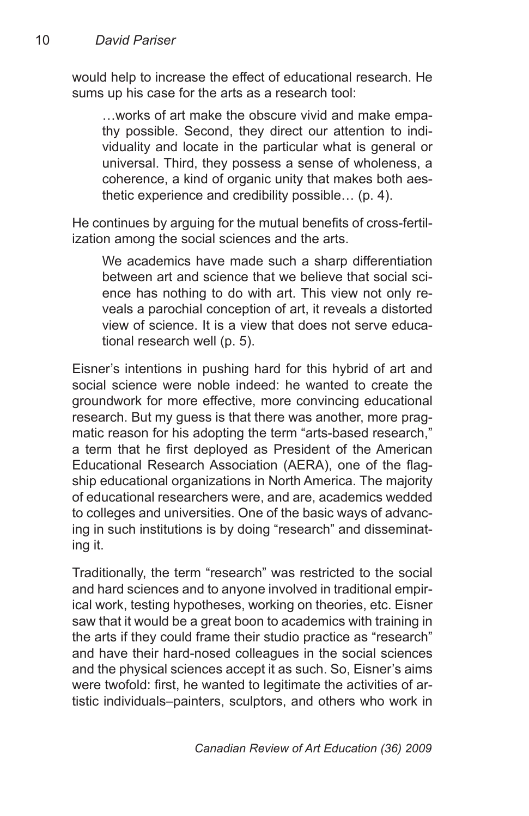would help to increase the effect of educational research. He sums up his case for the arts as a research tool:

…works of art make the obscure vivid and make empathy possible. Second, they direct our attention to individuality and locate in the particular what is general or universal. Third, they possess a sense of wholeness, a coherence, a kind of organic unity that makes both aesthetic experience and credibility possible… (p. 4).

He continues by arguing for the mutual benefits of cross-fertilization among the social sciences and the arts.

We academics have made such a sharp differentiation between art and science that we believe that social science has nothing to do with art. This view not only reveals a parochial conception of art, it reveals a distorted view of science. It is a view that does not serve educational research well (p. 5).

Eisner's intentions in pushing hard for this hybrid of art and social science were noble indeed: he wanted to create the groundwork for more effective, more convincing educational research. But my guess is that there was another, more pragmatic reason for his adopting the term "arts-based research," a term that he first deployed as President of the American Educational Research Association (AERA), one of the flagship educational organizations in North America. The majority of educational researchers were, and are, academics wedded to colleges and universities. One of the basic ways of advancing in such institutions is by doing "research" and disseminating it.

Traditionally, the term "research" was restricted to the social and hard sciences and to anyone involved in traditional empirical work, testing hypotheses, working on theories, etc. Eisner saw that it would be a great boon to academics with training in the arts if they could frame their studio practice as "research" and have their hard-nosed colleagues in the social sciences and the physical sciences accept it as such. So, Eisner's aims were twofold: first, he wanted to legitimate the activities of artistic individuals–painters, sculptors, and others who work in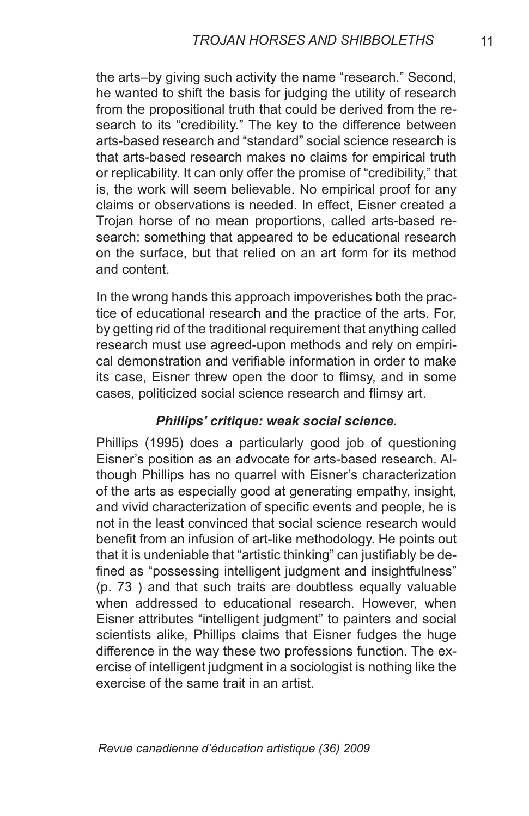the arts–by giving such activity the name "research." Second, he wanted to shift the basis for judging the utility of research from the propositional truth that could be derived from the research to its "credibility." The key to the difference between arts-based research and "standard" social science research is that arts-based research makes no claims for empirical truth or replicability. It can only offer the promise of "credibility," that is, the work will seem believable. No empirical proof for any claims or observations is needed. In effect, Eisner created a Trojan horse of no mean proportions, called arts-based research: something that appeared to be educational research on the surface, but that relied on an art form for its method and content.

In the wrong hands this approach impoverishes both the practice of educational research and the practice of the arts. For, by getting rid of the traditional requirement that anything called research must use agreed-upon methods and rely on empirical demonstration and verifiable information in order to make its case, Eisner threw open the door to flimsy, and in some cases, politicized social science research and flimsy art.

# *Phillips' critique: weak social science.*

Phillips (1995) does a particularly good job of questioning Eisner's position as an advocate for arts-based research. Although Phillips has no quarrel with Eisner's characterization of the arts as especially good at generating empathy, insight, and vivid characterization of specific events and people, he is not in the least convinced that social science research would benefit from an infusion of art-like methodology. He points out that it is undeniable that "artistic thinking" can justifiably be defined as "possessing intelligent judgment and insightfulness" (p. 73 ) and that such traits are doubtless equally valuable when addressed to educational research. However, when Eisner attributes "intelligent judgment" to painters and social scientists alike, Phillips claims that Eisner fudges the huge difference in the way these two professions function. The exercise of intelligent judgment in a sociologist is nothing like the exercise of the same trait in an artist.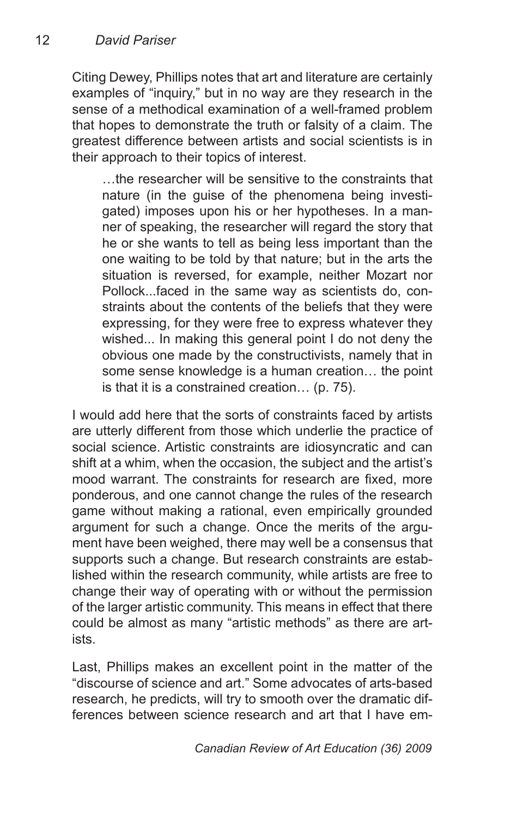Citing Dewey, Phillips notes that art and literature are certainly examples of "inquiry," but in no way are they research in the sense of a methodical examination of a well-framed problem that hopes to demonstrate the truth or falsity of a claim. The greatest difference between artists and social scientists is in their approach to their topics of interest.

…the researcher will be sensitive to the constraints that nature (in the guise of the phenomena being investigated) imposes upon his or her hypotheses. In a manner of speaking, the researcher will regard the story that he or she wants to tell as being less important than the one waiting to be told by that nature; but in the arts the situation is reversed, for example, neither Mozart nor Pollock...faced in the same way as scientists do, constraints about the contents of the beliefs that they were expressing, for they were free to express whatever they wished... In making this general point I do not deny the obvious one made by the constructivists, namely that in some sense knowledge is a human creation… the point is that it is a constrained creation… (p. 75).

I would add here that the sorts of constraints faced by artists are utterly different from those which underlie the practice of social science. Artistic constraints are idiosyncratic and can shift at a whim, when the occasion, the subject and the artist's mood warrant. The constraints for research are fixed, more ponderous, and one cannot change the rules of the research game without making a rational, even empirically grounded argument for such a change. Once the merits of the argument have been weighed, there may well be a consensus that supports such a change. But research constraints are established within the research community, while artists are free to change their way of operating with or without the permission of the larger artistic community. This means in effect that there could be almost as many "artistic methods" as there are artists.

Last, Phillips makes an excellent point in the matter of the "discourse of science and art." Some advocates of arts-based research, he predicts, will try to smooth over the dramatic differences between science research and art that I have em-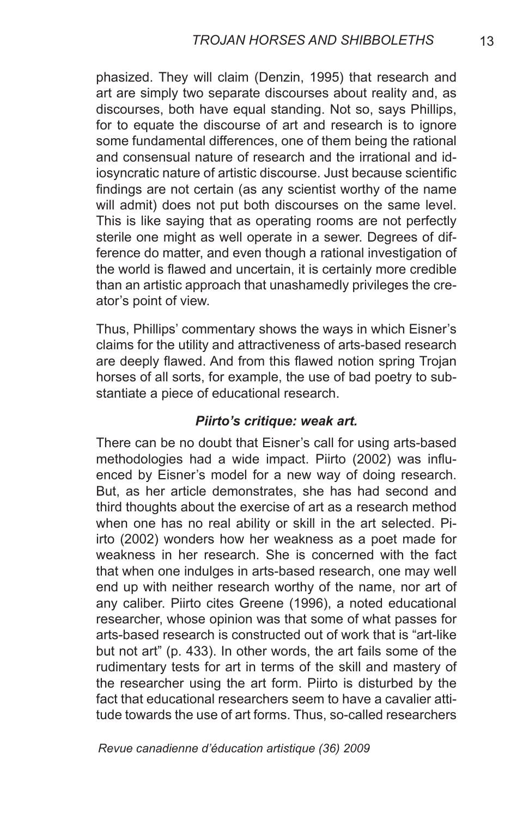phasized. They will claim (Denzin, 1995) that research and art are simply two separate discourses about reality and, as discourses, both have equal standing. Not so, says Phillips, for to equate the discourse of art and research is to ignore some fundamental differences, one of them being the rational and consensual nature of research and the irrational and idiosyncratic nature of artistic discourse. Just because scientific findings are not certain (as any scientist worthy of the name will admit) does not put both discourses on the same level. This is like saying that as operating rooms are not perfectly sterile one might as well operate in a sewer. Degrees of difference do matter, and even though a rational investigation of the world is flawed and uncertain, it is certainly more credible than an artistic approach that unashamedly privileges the creator's point of view.

Thus, Phillips' commentary shows the ways in which Eisner's claims for the utility and attractiveness of arts-based research are deeply flawed. And from this flawed notion spring Trojan horses of all sorts, for example, the use of bad poetry to substantiate a piece of educational research.

## *Piirto's critique: weak art.*

There can be no doubt that Eisner's call for using arts-based methodologies had a wide impact. Piirto (2002) was influenced by Eisner's model for a new way of doing research. But, as her article demonstrates, she has had second and third thoughts about the exercise of art as a research method when one has no real ability or skill in the art selected. Piirto (2002) wonders how her weakness as a poet made for weakness in her research. She is concerned with the fact that when one indulges in arts-based research, one may well end up with neither research worthy of the name, nor art of any caliber. Piirto cites Greene (1996), a noted educational researcher, whose opinion was that some of what passes for arts-based research is constructed out of work that is "art-like but not art" (p. 433). In other words, the art fails some of the rudimentary tests for art in terms of the skill and mastery of the researcher using the art form. Piirto is disturbed by the fact that educational researchers seem to have a cavalier attitude towards the use of art forms. Thus, so-called researchers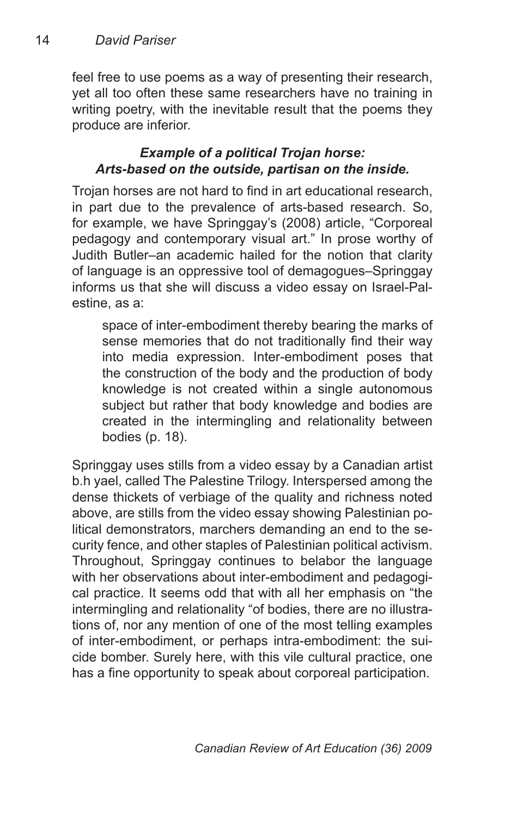feel free to use poems as a way of presenting their research, yet all too often these same researchers have no training in writing poetry, with the inevitable result that the poems they produce are inferior.

## *Example of a political Trojan horse: Arts-based on the outside, partisan on the inside.*

Trojan horses are not hard to find in art educational research, in part due to the prevalence of arts-based research. So, for example, we have Springgay's (2008) article, "Corporeal pedagogy and contemporary visual art." In prose worthy of Judith Butler–an academic hailed for the notion that clarity of language is an oppressive tool of demagogues–Springgay informs us that she will discuss a video essay on Israel-Palestine, as a:

space of inter-embodiment thereby bearing the marks of sense memories that do not traditionally find their way into media expression. Inter-embodiment poses that the construction of the body and the production of body knowledge is not created within a single autonomous subject but rather that body knowledge and bodies are created in the intermingling and relationality between bodies (p. 18).

Springgay uses stills from a video essay by a Canadian artist b.h yael, called The Palestine Trilogy. Interspersed among the dense thickets of verbiage of the quality and richness noted above, are stills from the video essay showing Palestinian political demonstrators, marchers demanding an end to the security fence, and other staples of Palestinian political activism. Throughout, Springgay continues to belabor the language with her observations about inter-embodiment and pedagogical practice. It seems odd that with all her emphasis on "the intermingling and relationality "of bodies, there are no illustrations of, nor any mention of one of the most telling examples of inter-embodiment, or perhaps intra-embodiment: the suicide bomber. Surely here, with this vile cultural practice, one has a fine opportunity to speak about corporeal participation.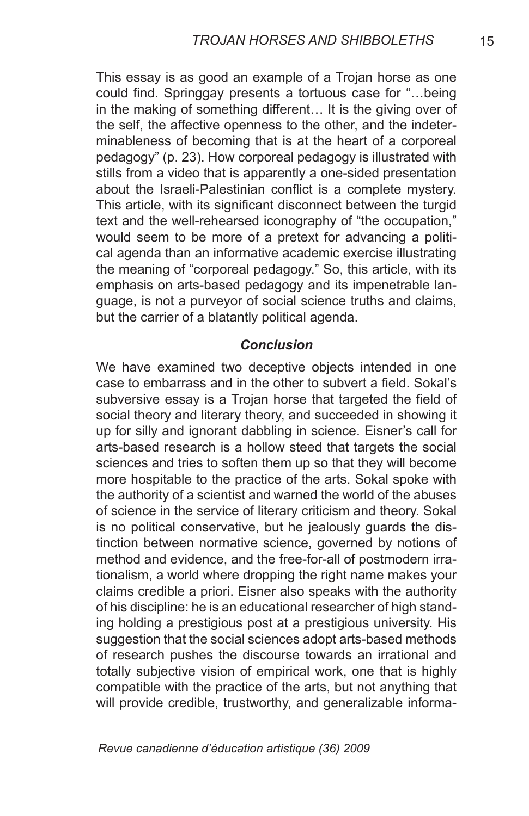This essay is as good an example of a Trojan horse as one could find. Springgay presents a tortuous case for "…being in the making of something different… It is the giving over of the self, the affective openness to the other, and the indeterminableness of becoming that is at the heart of a corporeal pedagogy" (p. 23). How corporeal pedagogy is illustrated with stills from a video that is apparently a one-sided presentation about the Israeli-Palestinian conflict is a complete mystery. This article, with its significant disconnect between the turgid text and the well-rehearsed iconography of "the occupation," would seem to be more of a pretext for advancing a political agenda than an informative academic exercise illustrating the meaning of "corporeal pedagogy." So, this article, with its emphasis on arts-based pedagogy and its impenetrable language, is not a purveyor of social science truths and claims, but the carrier of a blatantly political agenda.

## *Conclusion*

We have examined two deceptive objects intended in one case to embarrass and in the other to subvert a field. Sokal's subversive essay is a Trojan horse that targeted the field of social theory and literary theory, and succeeded in showing it up for silly and ignorant dabbling in science. Eisner's call for arts-based research is a hollow steed that targets the social sciences and tries to soften them up so that they will become more hospitable to the practice of the arts. Sokal spoke with the authority of a scientist and warned the world of the abuses of science in the service of literary criticism and theory. Sokal is no political conservative, but he jealously guards the distinction between normative science, governed by notions of method and evidence, and the free-for-all of postmodern irrationalism, a world where dropping the right name makes your claims credible a priori. Eisner also speaks with the authority of his discipline: he is an educational researcher of high standing holding a prestigious post at a prestigious university. His suggestion that the social sciences adopt arts-based methods of research pushes the discourse towards an irrational and totally subjective vision of empirical work, one that is highly compatible with the practice of the arts, but not anything that will provide credible, trustworthy, and generalizable informa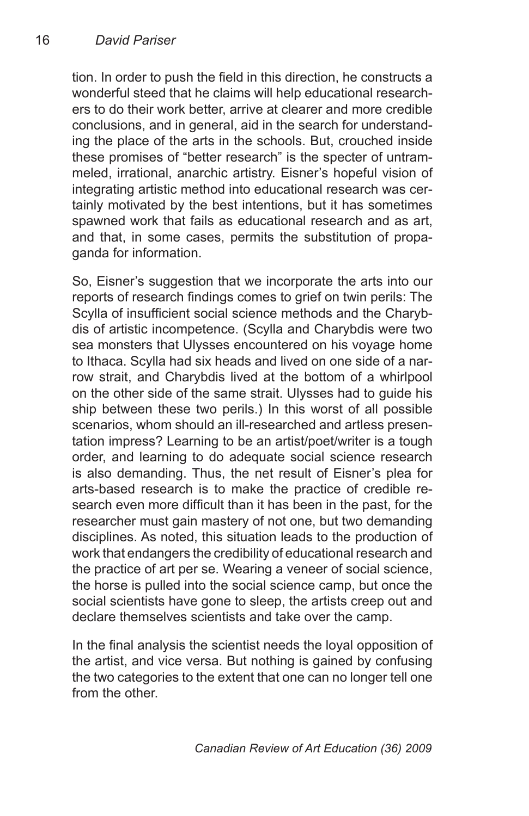16

tion. In order to push the field in this direction, he constructs a wonderful steed that he claims will help educational researchers to do their work better, arrive at clearer and more credible conclusions, and in general, aid in the search for understanding the place of the arts in the schools. But, crouched inside these promises of "better research" is the specter of untrammeled, irrational, anarchic artistry. Eisner's hopeful vision of integrating artistic method into educational research was certainly motivated by the best intentions, but it has sometimes spawned work that fails as educational research and as art, and that, in some cases, permits the substitution of propaganda for information.

So, Eisner's suggestion that we incorporate the arts into our reports of research findings comes to grief on twin perils: The Scylla of insufficient social science methods and the Charybdis of artistic incompetence. (Scylla and Charybdis were two sea monsters that Ulysses encountered on his voyage home to Ithaca. Scylla had six heads and lived on one side of a narrow strait, and Charybdis lived at the bottom of a whirlpool on the other side of the same strait. Ulysses had to guide his ship between these two perils.) In this worst of all possible scenarios, whom should an ill-researched and artless presentation impress? Learning to be an artist/poet/writer is a tough order, and learning to do adequate social science research is also demanding. Thus, the net result of Eisner's plea for arts-based research is to make the practice of credible research even more difficult than it has been in the past, for the researcher must gain mastery of not one, but two demanding disciplines. As noted, this situation leads to the production of work that endangers the credibility of educational research and the practice of art per se. Wearing a veneer of social science, the horse is pulled into the social science camp, but once the social scientists have gone to sleep, the artists creep out and declare themselves scientists and take over the camp.

In the final analysis the scientist needs the loyal opposition of the artist, and vice versa. But nothing is gained by confusing the two categories to the extent that one can no longer tell one from the other.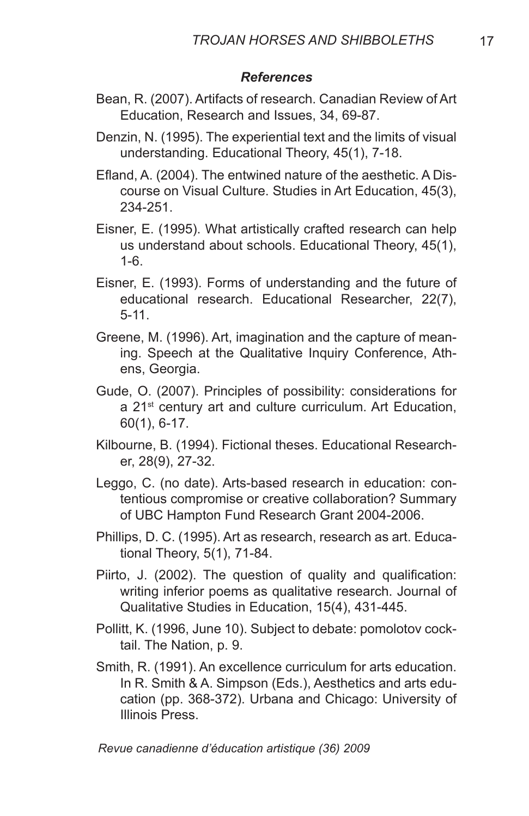#### *References*

- Bean, R. (2007). Artifacts of research. Canadian Review of Art Education, Research and Issues, 34, 69-87.
- Denzin, N. (1995). The experiential text and the limits of visual understanding. Educational Theory, 45(1), 7-18.
- Efland, A. (2004). The entwined nature of the aesthetic. A Discourse on Visual Culture. Studies in Art Education, 45(3), 234-251.
- Eisner, E. (1995). What artistically crafted research can help us understand about schools. Educational Theory, 45(1), 1-6.
- Eisner, E. (1993). Forms of understanding and the future of educational research. Educational Researcher, 22(7), 5-11.
- Greene, M. (1996). Art, imagination and the capture of meaning. Speech at the Qualitative Inquiry Conference, Athens, Georgia.
- Gude, O. (2007). Principles of possibility: considerations for a 21<sup>st</sup> century art and culture curriculum. Art Education, 60(1), 6-17.
- Kilbourne, B. (1994). Fictional theses. Educational Researcher, 28(9), 27-32.
- Leggo, C. (no date). Arts-based research in education: contentious compromise or creative collaboration? Summary of UBC Hampton Fund Research Grant 2004-2006.
- Phillips, D. C. (1995). Art as research, research as art. Educational Theory, 5(1), 71-84.
- Piirto, J. (2002). The question of quality and qualification: writing inferior poems as qualitative research. Journal of Qualitative Studies in Education, 15(4), 431-445.
- Pollitt, K. (1996, June 10). Subject to debate: pomolotov cocktail. The Nation, p. 9.
- Smith, R. (1991). An excellence curriculum for arts education. In R. Smith & A. Simpson (Eds.), Aesthetics and arts education (pp. 368-372). Urbana and Chicago: University of Illinois Press.